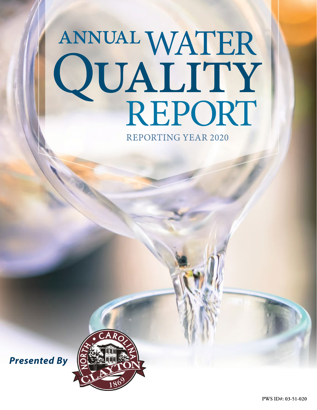# ANNUAL WATER<br>QUALITY<br>REPORT

**REPORTING YEAR 2020** 



*Presented By*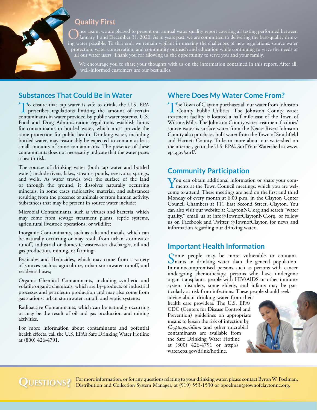# **Quality First**

Once again, we are pleased to present our annual water quality report covering all testing performed between January 1 and December 31, 2020. As in years past, we are committed to delivering the best-quality drink-<br>is a ma ing water possible. To that end, we remain vigilant in meeting the challenges of new regulations, source water protection, water conservation, and community outreach and education while continuing to serve the needs of all our water users. Thank you for allowing us the opportunity to serve you and your family.

We encourage you to share your thoughts with us on the information contained in this report. After all, well-informed customers are our best allies.

# **Substances That Could Be in Water**

To ensure that tap water is safe to drink, the U.S. EPA prescribes regulations limiting the amount of certain contaminants in water provided by public water systems. U.S. Food and Drug Administration regulations establish limits for contaminants in bottled water, which must provide the same protection for public health. Drinking water, including bottled water, may reasonably be expected to contain at least small amounts of some contaminants. The presence of these contaminants does not necessarily indicate that the water poses a health risk.

The sources of drinking water (both tap water and bottled water) include rivers, lakes, streams, ponds, reservoirs, springs, and wells. As water travels over the surface of the land or through the ground, it dissolves naturally occurring minerals, in some cases radioactive material, and substances resulting from the presence of animals or from human activity. Substances that may be present in source water include:

Microbial Contaminants, such as viruses and bacteria, which may come from sewage treatment plants, septic systems, agricultural livestock operations, or wildlife;

Inorganic Contaminants, such as salts and metals, which can be naturally occurring or may result from urban stormwater runoff, industrial or domestic wastewater discharges, oil and gas production, mining, or farming;

Pesticides and Herbicides, which may come from a variety of sources such as agriculture, urban stormwater runoff, and residential uses;

Organic Chemical Contaminants, including synthetic and volatile organic chemicals, which are by-products of industrial processes and petroleum production and may also come from gas stations, urban stormwater runoff, and septic systems;

Radioactive Contaminants, which can be naturally occurring or may be the result of oil and gas production and mining activities.

For more information about contaminants and potential health effects, call the U.S. EPA's Safe Drinking Water Hotline at (800) 426-4791.

# **Where Does My Water Come From?**

The Town of Clayton purchases all our water from Johnston<br>County Public Utilities. The Johnston County water treatment facility is located a half mile east of the Town of Wilsons Mills. The Johnston County water treatment facilities' source water is surface water from the Neuse River. Johnston County also purchases bulk water from the Town of Smithfield and Harnett County. To learn more about our watershed on the internet, go to the U.S. EPA's Surf Your Watershed at [www.](http://www.epa.gov/surf/) [epa.gov/surf/.](http://www.epa.gov/surf/)

# **Community Participation**

You can obtain additional information or share your com-ments at the Town Council meetings, which you are welcome to attend. These meetings are held on the first and third Monday of every month at 6:00 p.m. in the Clayton Center Council Chambers at 111 East Second Street, Clayton. You can also visit our website at [ClaytonNC.org](http://ClaytonNC.org) and search "water quality," email us at [info@TownofClaytonNC.org](mailto:info@TownofClaytonNC.org), or follow us on Facebook and Twitter @TownofClayton for news and information regarding our drinking water.

# **Important Health Information**

Some people may be more vulnerable to contami-<br>nants in drinking water than the general population. Immunocompromised persons such as persons with cancer undergoing chemotherapy, persons who have undergone organ transplants, people with HIV/AIDS or other immune system disorders, some elderly, and infants may be particularly at risk from infections. These people should seek

advice about drinking water from their health care providers. The U.S. EPA/ CDC (Centers for Disease Control and Prevention) guidelines on appropriate means to lessen the risk of infection by *Cryptosporidium* and other microbial contaminants are available from the Safe Drinking Water Hotline at (800) 426-4791 or [http://](http://water.epa.gov/drink/hotline) [water.epa.gov/drink/hotline](http://water.epa.gov/drink/hotline).

QUESTIONS? For more information, or for any questions relating to your drinking water, please contact Byron W. Poelman, Distribution and Collection System Manager, at (919) 553-1530 or [bpoelman@townofclaytonnc.org](mailto:bpoelman@townofclaytonnc.org).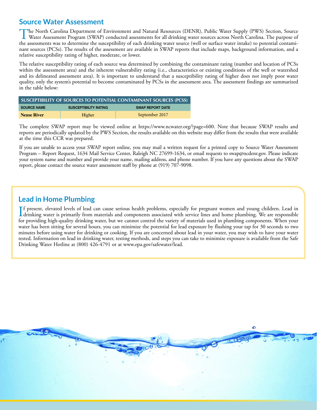# **Source Water Assessment**

The North Carolina Department of Environment and Natural Resources (DENR), Public Water Supply (PWS) Section, Source<br>Water Assessment Program (SWAP) conducted assessments for all drinking water sources across North Carolin the assessments was to determine the susceptibility of each drinking water source (well or surface water intake) to potential contaminant sources (PCSs). The results of the assessment are available in SWAP reports that include maps, background information, and a relative susceptibility rating of higher, moderate, or lower.

The relative susceptibility rating of each source was determined by combining the contaminant rating (number and location of PCSs within the assessment area) and the inherent vulnerability rating (i.e., characteristics or existing conditions of the well or watershed and its delineated assessment area). It is important to understand that a susceptibility rating of higher does not imply poor water quality, only the system's potential to become contaminated by PCSs in the assessment area. The assessment findings are summarized in the table below:

| SUSCEPTIBILITY OF SOURCES TO POTENTIAL CONTAMINANT SOURCES (PCSS) |                              |                         |  |  |  |  |  |  |
|-------------------------------------------------------------------|------------------------------|-------------------------|--|--|--|--|--|--|
| <b>SOURCE NAME</b>                                                | <b>SUSCEPTIBILITY RATING</b> | <b>SWAP REPORT DATE</b> |  |  |  |  |  |  |
| <b>Neuse River</b>                                                | Higher                       | September 2017          |  |  |  |  |  |  |

The complete SWAP report may be viewed online at <https://www.ncwater.org/?page=600>. Note that because SWAP results and reports are periodically updated by the PWS Section, the results available on this website may differ from the results that were available at the time this CCR was prepared.

If you are unable to access your SWAP report online, you may mail a written request for a printed copy to Source Water Assessment Program – Report Request, 1634 Mail Service Center, Raleigh NC 27699-1634, or email requests to [swap@ncdenr.gov.](mailto:swap@ncdenr.gov) Please indicate your system name and number and provide your name, mailing address, and phone number. If you have any questions about the SWAP report, please contact the source water assessment staff by phone at (919) 707-9098.

# **Lead in Home Plumbing**

If present, elevated levels of lead can cause serious health problems, especially for pregnant women and young children. Lead in drinking water is primarily from materials and components associated with service lines and h f present, elevated levels of lead can cause serious health problems, especially for pregnant women and young children. Lead in for providing high-quality drinking water, but we cannot control the variety of materials used in plumbing components. When your water has been sitting for several hours, you can minimize the potential for lead exposure by flushing your tap for 30 seconds to two minutes before using water for drinking or cooking. If you are concerned about lead in your water, you may wish to have your water tested. Information on lead in drinking water, testing methods, and steps you can take to minimize exposure is available from the Safe Drinking Water Hotline at (800) 426-4791 or at [www.epa.gov/safewater/lead](http://www.epa.gov/safewater/lead).

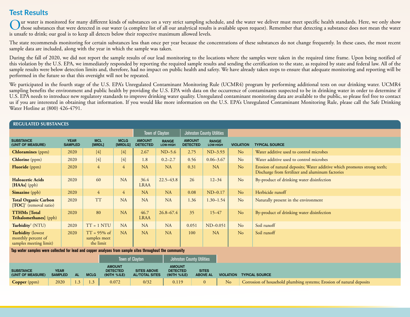# **Test Results**

Our water is monitored for many different kinds of substances on a very strict sampling schedule, and the water we deliver must meet specific health standards. Here, we only show<br>those substances that were detected in our is unsafe to drink; our goal is to keep all detects below their respective maximum allowed levels.

The state recommends monitoring for certain substances less than once per year because the concentrations of these substances do not change frequently. In these cases, the most recent sample data are included, along with the year in which the sample was taken.

During the fall of 2020, we did not report the sample results of our lead monitoring to the locations where the samples were taken in the required time frame. Upon being notified of this violation by the U.S. EPA, we immediately responded by reporting the required sample results and sending the certification to the state, as required by state and federal law. All of the sample results were below detection limits and, therefore, had no impact on public health and safety. We have already taken steps to ensure that adequate monitoring and reporting will be performed in the future so that this oversight will not be repeated.

We participated in the fourth stage of the U.S. EPA's Unregulated Contaminant Monitoring Rule (UCMR4) program by performing additional tests on our drinking water. UCMR4 sampling benefits the environment and public health by providing the U.S. EPA with data on the occurrence of contaminants suspected to be in drinking water in order to determine if U.S. EPA needs to introduce new regulatory standards to improve drinking water quality. Unregulated contaminant monitoring data are available to the public, so please feel free to contact us if you are interested in obtaining that information. If you would like more information on the U.S. EPA's Unregulated Contaminant Monitoring Rule, please call the Safe Drinking Water Hotline at (800) 426-4791.

| <b>REGULATED SUBSTANCES</b>                                                                              |                               |                                             |                        |                                  |                          |                                  |                          |                  |                                                                                                                              |
|----------------------------------------------------------------------------------------------------------|-------------------------------|---------------------------------------------|------------------------|----------------------------------|--------------------------|----------------------------------|--------------------------|------------------|------------------------------------------------------------------------------------------------------------------------------|
|                                                                                                          |                               |                                             |                        |                                  | <b>Town of Clayton</b>   | <b>Johnston County Utilities</b> |                          |                  |                                                                                                                              |
| <b>SUBSTANCE</b><br>(UNIT OF MEASURE)                                                                    | <b>YEAR</b><br><b>SAMPLED</b> | <b>MCL</b><br>[MRDL]                        | <b>MCLG</b><br>[MRDLG] | <b>AMOUNT</b><br><b>DETECTED</b> | <b>RANGE</b><br>LOW-HIGH | <b>AMOUNT</b><br><b>DETECTED</b> | <b>RANGE</b><br>LOW-HIGH | <b>VIOLATION</b> | <b>TYPICAL SOURCE</b>                                                                                                        |
| <b>Chloramines</b> (ppm)                                                                                 | 2020                          | $[4]$                                       | $[4]$                  | 2.67                             | $ND-5.6$                 | 2.75                             | $ND-3.93$                | N <sub>o</sub>   | Water additive used to control microbes                                                                                      |
| <b>Chlorine</b> (ppm)                                                                                    | 2020                          | $[4]$                                       | $[4]$                  | 1.8                              | $0.2 - 2.7$              | 0.56                             | $0.06 - 3.67$            | N <sub>o</sub>   | Water additive used to control microbes                                                                                      |
| <b>Fluoride</b> (ppm)                                                                                    | 2020                          | $\overline{4}$                              | 4                      | NA                               | <b>NA</b>                | 0.31                             | <b>NA</b>                | N <sub>o</sub>   | Erosion of natural deposits; Water additive which promotes strong teeth;<br>Discharge from fertilizer and aluminum factories |
| <b>Haloacetic Acids</b><br>[HAAs] (ppb)                                                                  | 2020                          | 60                                          | <b>NA</b>              | 36.4<br><b>LRAA</b>              | $22.5 - 43.8$            | 26                               | $12 - 34$                | N <sub>o</sub>   | By-product of drinking water disinfection                                                                                    |
| Simazine (ppb)                                                                                           | 2020                          | 4                                           | 4                      | NA                               | <b>NA</b>                | 0.08                             | $ND-0.17$                | No               | Herbicide runoff                                                                                                             |
| <b>Total Organic Carbon</b><br>$[TOC]$ <sup>1</sup> (removal ratio)                                      | 2020                          | <b>TT</b>                                   | NA                     | <b>NA</b>                        | <b>NA</b>                | 1.36                             | $1.30 - 1.54$            | N <sub>o</sub>   | Naturally present in the environment                                                                                         |
| <b>TTHMs</b> [Total]<br><b>Trihalomethanes</b> ] (ppb)                                                   | 2020                          | 80                                          | <b>NA</b>              | 46.7<br><b>LRAA</b>              | $26.8 - 67.4$            | 35                               | $15 - 47$                | N <sub>o</sub>   | By-product of drinking water disinfection                                                                                    |
| Turbidity <sup>2</sup> (NTU)                                                                             | 2020                          | $TT = 1 NTU$                                | <b>NA</b>              | <b>NA</b>                        | <b>NA</b>                | 0.051                            | $ND-0.051$               | N <sub>o</sub>   | Soil runoff                                                                                                                  |
| <b>Turbidity (lowest</b><br>monthly percent of<br>samples meeting limit)                                 | 2020                          | $TT = 95\%$ of<br>samples meet<br>the limit | <b>NA</b>              | NA                               | <b>NA</b>                | 100                              | NA                       | N <sub>o</sub>   | Soil runoff                                                                                                                  |
| Ton water compleg were collected for load and connec angluege from comple eiter throughout the community |                               |                                             |                        |                                  |                          |                                  |                          |                  |                                                                                                                              |

**Tap water samples were collected for lead and copper analyses from sample sites throughout the community**

|                                       |                               |           |             |                                                 | <b>Town of Clayton</b>                      | Johnston County Utilities                       |                                 |    |                                                                      |
|---------------------------------------|-------------------------------|-----------|-------------|-------------------------------------------------|---------------------------------------------|-------------------------------------------------|---------------------------------|----|----------------------------------------------------------------------|
| <b>SUBSTANCE</b><br>(UNIT OF MEASURE) | <b>YEAR</b><br><b>SAMPLED</b> | <b>AL</b> | <b>MCLG</b> | <b>AMOUNT</b><br><b>DETECTED</b><br>(90TH %ILE) | <b>SITES ABOVE</b><br><b>AL/TOTAL SITES</b> | <b>AMOUNT</b><br><b>DETECTED</b><br>(90TH %ILE) | <b>SITES</b><br><b>ABOVE AL</b> |    | <b>VIOLATION TYPICAL SOURCE</b>                                      |
| <b>Copper</b> (ppm)                   | 2020                          | 1.3       | 1.3         | 0.072                                           | 0/32                                        | 0.119                                           |                                 | No | Corrosion of household plumbing systems; Erosion of natural deposits |